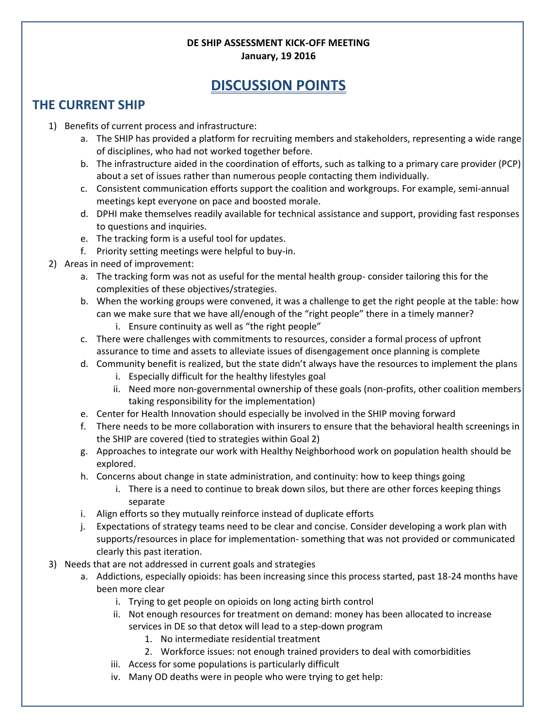## **DE SHIP ASSESSMENT KICK-OFF MEETING January, 19 2016**

## **DISCUSSION POINTS**

## **THE CURRENT SHIP**

- 1) Benefits of current process and infrastructure:
	- a. The SHIP has provided a platform for recruiting members and stakeholders, representing a wide range of disciplines, who had not worked together before.
	- b. The infrastructure aided in the coordination of efforts, such as talking to a primary care provider (PCP) about a set of issues rather than numerous people contacting them individually.
	- c. Consistent communication efforts support the coalition and workgroups. For example, semi-annual meetings kept everyone on pace and boosted morale.
	- d. DPHI make themselves readily available for technical assistance and support, providing fast responses to questions and inquiries.
	- e. The tracking form is a useful tool for updates.
	- f. Priority setting meetings were helpful to buy-in.
- 2) Areas in need of improvement:
	- a. The tracking form was not as useful for the mental health group- consider tailoring this for the complexities of these objectives/strategies.
	- b. When the working groups were convened, it was a challenge to get the right people at the table: how can we make sure that we have all/enough of the "right people" there in a timely manner?
		- i. Ensure continuity as well as "the right people"
	- c. There were challenges with commitments to resources, consider a formal process of upfront assurance to time and assets to alleviate issues of disengagement once planning is complete
	- d. Community benefit is realized, but the state didn't always have the resources to implement the plans
		- i. Especially difficult for the healthy lifestyles goal
		- ii. Need more non-governmental ownership of these goals (non-profits, other coalition members taking responsibility for the implementation)
	- e. Center for Health Innovation should especially be involved in the SHIP moving forward
	- f. There needs to be more collaboration with insurers to ensure that the behavioral health screenings in the SHIP are covered (tied to strategies within Goal 2)
	- g. Approaches to integrate our work with Healthy Neighborhood work on population health should be explored.
	- h. Concerns about change in state administration, and continuity: how to keep things going
		- i. There is a need to continue to break down silos, but there are other forces keeping things separate
	- i. Align efforts so they mutually reinforce instead of duplicate efforts
	- j. Expectations of strategy teams need to be clear and concise. Consider developing a work plan with supports/resources in place for implementation- something that was not provided or communicated clearly this past iteration.
- 3) Needs that are not addressed in current goals and strategies
	- a. Addictions, especially opioids: has been increasing since this process started, past 18-24 months have been more clear
		- i. Trying to get people on opioids on long acting birth control
		- ii. Not enough resources for treatment on demand: money has been allocated to increase services in DE so that detox will lead to a step-down program
			- 1. No intermediate residential treatment
			- 2. Workforce issues: not enough trained providers to deal with comorbidities
		- iii. Access for some populations is particularly difficult
		- iv. Many OD deaths were in people who were trying to get help: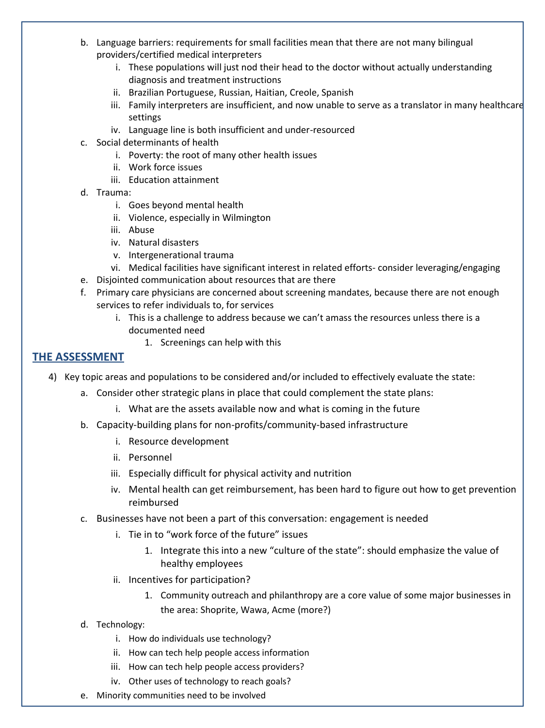- b. Language barriers: requirements for small facilities mean that there are not many bilingual providers/certified medical interpreters
	- i. These populations will just nod their head to the doctor without actually understanding diagnosis and treatment instructions
	- ii. Brazilian Portuguese, Russian, Haitian, Creole, Spanish
	- iii. Family interpreters are insufficient, and now unable to serve as a translator in many healthcare settings
	- iv. Language line is both insufficient and under-resourced
- c. Social determinants of health
	- i. Poverty: the root of many other health issues
	- ii. Work force issues
	- iii. Education attainment
- d. Trauma:
	- i. Goes beyond mental health
	- ii. Violence, especially in Wilmington
	- iii. Abuse
	- iv. Natural disasters
	- v. Intergenerational trauma
	- vi. Medical facilities have significant interest in related efforts- consider leveraging/engaging
- e. Disjointed communication about resources that are there
- f. Primary care physicians are concerned about screening mandates, because there are not enough services to refer individuals to, for services
	- i. This is a challenge to address because we can't amass the resources unless there is a documented need
		- 1. Screenings can help with this

## **THE ASSESSMENT**

- 4) Key topic areas and populations to be considered and/or included to effectively evaluate the state:
	- a. Consider other strategic plans in place that could complement the state plans:
		- i. What are the assets available now and what is coming in the future
	- b. Capacity-building plans for non-profits/community-based infrastructure
		- i. Resource development
		- ii. Personnel
		- iii. Especially difficult for physical activity and nutrition
		- iv. Mental health can get reimbursement, has been hard to figure out how to get prevention reimbursed
	- c. Businesses have not been a part of this conversation: engagement is needed
		- i. Tie in to "work force of the future" issues
			- 1. Integrate this into a new "culture of the state": should emphasize the value of healthy employees
		- ii. Incentives for participation?
			- 1. Community outreach and philanthropy are a core value of some major businesses in the area: Shoprite, Wawa, Acme (more?)
	- d. Technology:
		- i. How do individuals use technology?
		- ii. How can tech help people access information
		- iii. How can tech help people access providers?
		- iv. Other uses of technology to reach goals?
	- e. Minority communities need to be involved